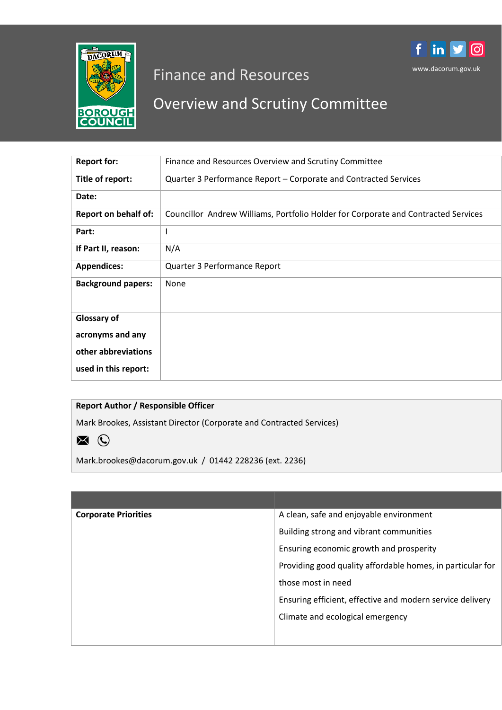

# Finance and Resources

# Overview and Scrutiny Committee

www.dacorum.gov.uk

|ල

f in y

| <b>Report for:</b>          | Finance and Resources Overview and Scrutiny Committee                              |
|-----------------------------|------------------------------------------------------------------------------------|
| Title of report:            | Quarter 3 Performance Report – Corporate and Contracted Services                   |
| Date:                       |                                                                                    |
| <b>Report on behalf of:</b> | Councillor Andrew Williams, Portfolio Holder for Corporate and Contracted Services |
| Part:                       | ı                                                                                  |
| If Part II, reason:         | N/A                                                                                |
| <b>Appendices:</b>          | Quarter 3 Performance Report                                                       |
| <b>Background papers:</b>   | None                                                                               |
| <b>Glossary of</b>          |                                                                                    |
| acronyms and any            |                                                                                    |
| other abbreviations         |                                                                                    |
| used in this report:        |                                                                                    |

# **Report Author / Responsible Officer**

Mark Brookes, Assistant Director (Corporate and Contracted Services)

 $\blacksquare$   $\odot$ 

Mark.brookes@dacorum.gov.uk / 01442 228236 (ext. 2236)

| <b>Corporate Priorities</b> | A clean, safe and enjoyable environment                    |
|-----------------------------|------------------------------------------------------------|
|                             | Building strong and vibrant communities                    |
|                             | Ensuring economic growth and prosperity                    |
|                             | Providing good quality affordable homes, in particular for |
|                             | those most in need                                         |
|                             | Ensuring efficient, effective and modern service delivery  |
|                             | Climate and ecological emergency                           |
|                             |                                                            |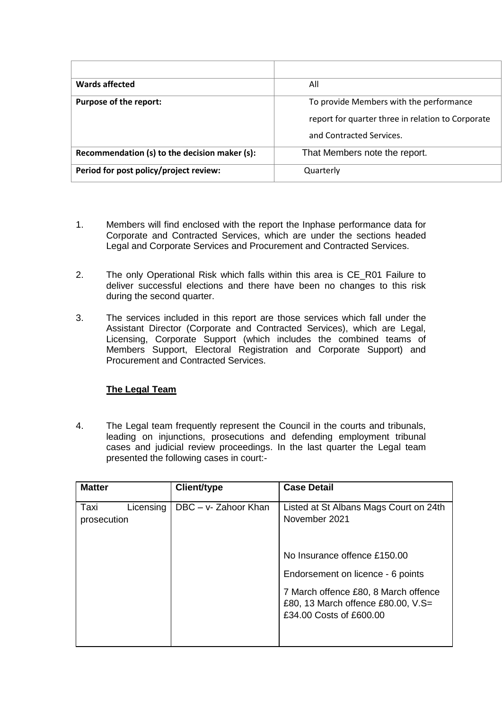| <b>Wards affected</b>                         | All                                               |
|-----------------------------------------------|---------------------------------------------------|
| Purpose of the report:                        | To provide Members with the performance           |
|                                               | report for quarter three in relation to Corporate |
|                                               | and Contracted Services.                          |
| Recommendation (s) to the decision maker (s): | That Members note the report.                     |
| Period for post policy/project review:        | Quarterly                                         |

- 1. Members will find enclosed with the report the Inphase performance data for Corporate and Contracted Services, which are under the sections headed Legal and Corporate Services and Procurement and Contracted Services.
- 2. The only Operational Risk which falls within this area is CE\_R01 Failure to deliver successful elections and there have been no changes to this risk during the second quarter.
- 3. The services included in this report are those services which fall under the Assistant Director (Corporate and Contracted Services), which are Legal, Licensing, Corporate Support (which includes the combined teams of Members Support, Electoral Registration and Corporate Support) and Procurement and Contracted Services.

# **The Legal Team**

4. The Legal team frequently represent the Council in the courts and tribunals, leading on injunctions, prosecutions and defending employment tribunal cases and judicial review proceedings. In the last quarter the Legal team presented the following cases in court:-

| <b>Matter</b>                    | <b>Client/type</b>   | <b>Case Detail</b>                                                                                    |
|----------------------------------|----------------------|-------------------------------------------------------------------------------------------------------|
| Taxi<br>Licensing<br>prosecution | DBC - v- Zahoor Khan | Listed at St Albans Mags Court on 24th<br>November 2021                                               |
|                                  |                      | No Insurance offence £150.00                                                                          |
|                                  |                      | Endorsement on licence - 6 points                                                                     |
|                                  |                      | 7 March offence £80, 8 March offence<br>£80, 13 March offence £80.00, V.S=<br>£34.00 Costs of £600.00 |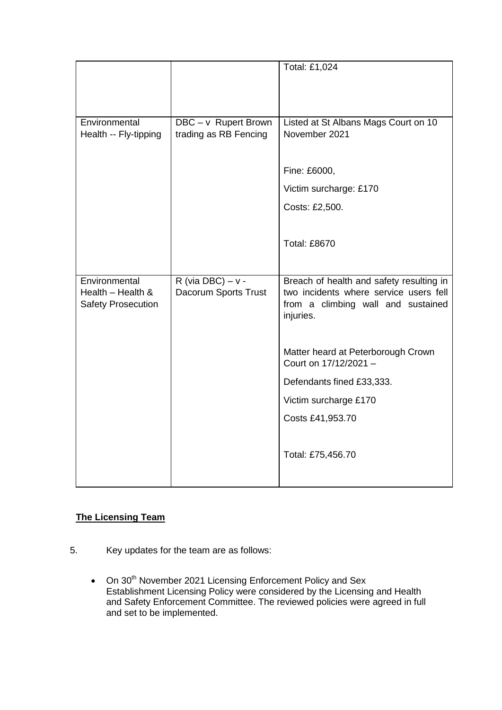|                           |                       | Total: £1,024                            |
|---------------------------|-----------------------|------------------------------------------|
|                           |                       |                                          |
|                           |                       |                                          |
| Environmental             | DBC - v Rupert Brown  | Listed at St Albans Mags Court on 10     |
| Health -- Fly-tipping     | trading as RB Fencing | November 2021                            |
|                           |                       |                                          |
|                           |                       | Fine: £6000,                             |
|                           |                       | Victim surcharge: £170                   |
|                           |                       | Costs: £2,500.                           |
|                           |                       |                                          |
|                           |                       | <b>Total: £8670</b>                      |
|                           |                       |                                          |
| Environmental             | R (via DBC) – $v -$   | Breach of health and safety resulting in |
| Health - Health &         | Dacorum Sports Trust  | two incidents where service users fell   |
| <b>Safety Prosecution</b> |                       | from a climbing wall and sustained       |
|                           |                       | injuries.                                |
|                           |                       |                                          |
|                           |                       | Matter heard at Peterborough Crown       |
|                           |                       | Court on 17/12/2021 -                    |
|                           |                       | Defendants fined £33,333.                |
|                           |                       | Victim surcharge £170                    |
|                           |                       | Costs £41,953.70                         |
|                           |                       |                                          |
|                           |                       | Total: £75,456.70                        |

# **The Licensing Team**

- 5. Key updates for the team are as follows:
	- $\bullet$  On 30<sup>th</sup> November 2021 Licensing Enforcement Policy and Sex Establishment Licensing Policy were considered by the Licensing and Health and Safety Enforcement Committee. The reviewed policies were agreed in full and set to be implemented.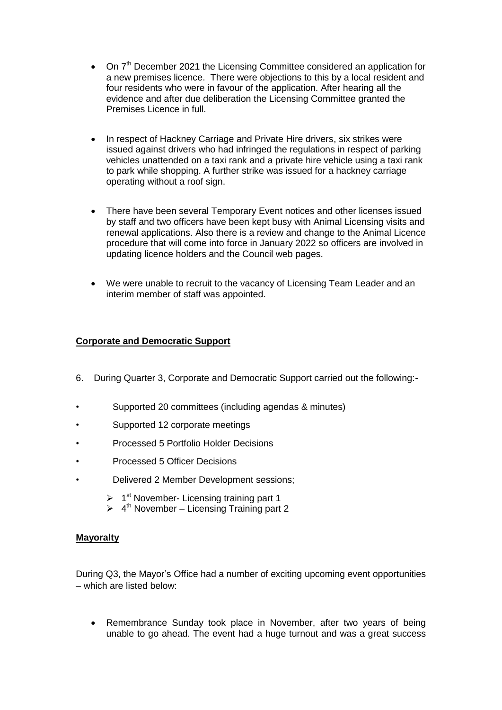- On  $7<sup>th</sup>$  December 2021 the Licensing Committee considered an application for a new premises licence. There were objections to this by a local resident and four residents who were in favour of the application. After hearing all the evidence and after due deliberation the Licensing Committee granted the Premises Licence in full.
- In respect of Hackney Carriage and Private Hire drivers, six strikes were issued against drivers who had infringed the regulations in respect of parking vehicles unattended on a taxi rank and a private hire vehicle using a taxi rank to park while shopping. A further strike was issued for a hackney carriage operating without a roof sign.
- There have been several Temporary Event notices and other licenses issued by staff and two officers have been kept busy with Animal Licensing visits and renewal applications. Also there is a review and change to the Animal Licence procedure that will come into force in January 2022 so officers are involved in updating licence holders and the Council web pages.
- We were unable to recruit to the vacancy of Licensing Team Leader and an interim member of staff was appointed.

# **Corporate and Democratic Support**

- 6. During Quarter 3, Corporate and Democratic Support carried out the following:-
- Supported 20 committees (including agendas & minutes)
- Supported 12 corporate meetings
- Processed 5 Portfolio Holder Decisions
- Processed 5 Officer Decisions
- Delivered 2 Member Development sessions;
	- $\triangleright$  1<sup>st</sup> November- Licensing training part 1
	- $\triangleright$  4<sup>th</sup> November Licensing Training part 2

#### **Mayoralty**

During Q3, the Mayor's Office had a number of exciting upcoming event opportunities – which are listed below:

 Remembrance Sunday took place in November, after two years of being unable to go ahead. The event had a huge turnout and was a great success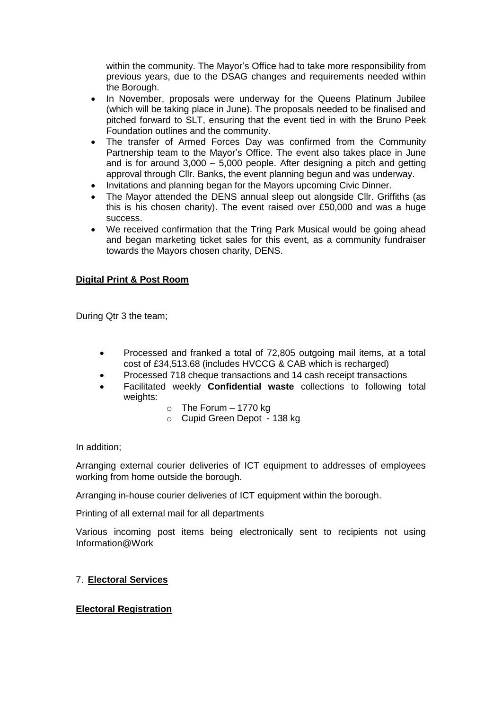within the community. The Mayor's Office had to take more responsibility from previous years, due to the DSAG changes and requirements needed within the Borough.

- In November, proposals were underway for the Queens Platinum Jubilee (which will be taking place in June). The proposals needed to be finalised and pitched forward to SLT, ensuring that the event tied in with the Bruno Peek Foundation outlines and the community.
- The transfer of Armed Forces Day was confirmed from the Community Partnership team to the Mayor's Office. The event also takes place in June and is for around 3,000 – 5,000 people. After designing a pitch and getting approval through Cllr. Banks, the event planning begun and was underway.
- Invitations and planning began for the Mayors upcoming Civic Dinner.
- The Mayor attended the DENS annual sleep out alongside Cllr. Griffiths (as this is his chosen charity). The event raised over £50,000 and was a huge success.
- We received confirmation that the Tring Park Musical would be going ahead and began marketing ticket sales for this event, as a community fundraiser towards the Mayors chosen charity, DENS.

# **Digital Print & Post Room**

During Qtr 3 the team;

- Processed and franked a total of 72,805 outgoing mail items, at a total cost of £34,513.68 (includes HVCCG & CAB which is recharged)
- Processed 718 cheque transactions and 14 cash receipt transactions
- Facilitated weekly **Confidential waste** collections to following total weights:
	- $\circ$  The Forum 1770 kg
	- o Cupid Green Depot 138 kg

In addition;

Arranging external courier deliveries of ICT equipment to addresses of employees working from home outside the borough.

Arranging in-house courier deliveries of ICT equipment within the borough.

Printing of all external mail for all departments

Various incoming post items being electronically sent to recipients not using Information@Work

#### 7. **Electoral Services**

#### **Electoral Registration**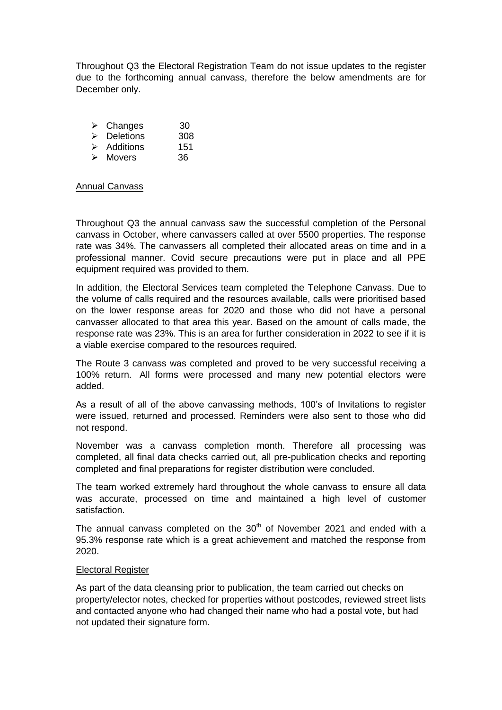Throughout Q3 the Electoral Registration Team do not issue updates to the register due to the forthcoming annual canvass, therefore the below amendments are for December only.

| ➤ | Changes          | 30  |
|---|------------------|-----|
| ↘ | <b>Deletions</b> | 308 |
| ↘ | Additions        | 151 |
| ↘ | Movers           | 36  |

#### Annual Canvass

Throughout Q3 the annual canvass saw the successful completion of the Personal canvass in October, where canvassers called at over 5500 properties. The response rate was 34%. The canvassers all completed their allocated areas on time and in a professional manner. Covid secure precautions were put in place and all PPE equipment required was provided to them.

In addition, the Electoral Services team completed the Telephone Canvass. Due to the volume of calls required and the resources available, calls were prioritised based on the lower response areas for 2020 and those who did not have a personal canvasser allocated to that area this year. Based on the amount of calls made, the response rate was 23%. This is an area for further consideration in 2022 to see if it is a viable exercise compared to the resources required.

The Route 3 canvass was completed and proved to be very successful receiving a 100% return. All forms were processed and many new potential electors were added.

As a result of all of the above canvassing methods, 100's of Invitations to register were issued, returned and processed. Reminders were also sent to those who did not respond.

November was a canvass completion month. Therefore all processing was completed, all final data checks carried out, all pre-publication checks and reporting completed and final preparations for register distribution were concluded.

The team worked extremely hard throughout the whole canvass to ensure all data was accurate, processed on time and maintained a high level of customer satisfaction.

The annual canvass completed on the  $30<sup>th</sup>$  of November 2021 and ended with a 95.3% response rate which is a great achievement and matched the response from 2020.

#### Electoral Register

As part of the data cleansing prior to publication, the team carried out checks on property/elector notes, checked for properties without postcodes, reviewed street lists and contacted anyone who had changed their name who had a postal vote, but had not updated their signature form.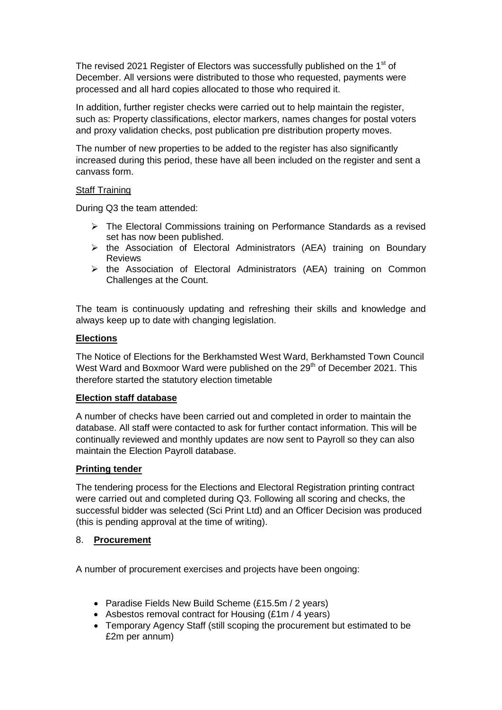The revised 2021 Register of Electors was successfully published on the 1<sup>st</sup> of December. All versions were distributed to those who requested, payments were processed and all hard copies allocated to those who required it.

In addition, further register checks were carried out to help maintain the register, such as: Property classifications, elector markers, names changes for postal voters and proxy validation checks, post publication pre distribution property moves.

The number of new properties to be added to the register has also significantly increased during this period, these have all been included on the register and sent a canvass form.

#### Staff Training

During Q3 the team attended:

- $\triangleright$  The Electoral Commissions training on Performance Standards as a revised set has now been published.
- $\triangleright$  the Association of Electoral Administrators (AEA) training on Boundary Reviews
- $\triangleright$  the Association of Electoral Administrators (AEA) training on Common Challenges at the Count.

The team is continuously updating and refreshing their skills and knowledge and always keep up to date with changing legislation.

# **Elections**

The Notice of Elections for the Berkhamsted West Ward, Berkhamsted Town Council West Ward and Boxmoor Ward were published on the 29<sup>th</sup> of December 2021. This therefore started the statutory election timetable

#### **Election staff database**

A number of checks have been carried out and completed in order to maintain the database. All staff were contacted to ask for further contact information. This will be continually reviewed and monthly updates are now sent to Payroll so they can also maintain the Election Payroll database.

# **Printing tender**

The tendering process for the Elections and Electoral Registration printing contract were carried out and completed during Q3. Following all scoring and checks, the successful bidder was selected (Sci Print Ltd) and an Officer Decision was produced (this is pending approval at the time of writing).

#### 8. **Procurement**

A number of procurement exercises and projects have been ongoing:

- Paradise Fields New Build Scheme (£15.5m / 2 years)
- Asbestos removal contract for Housing (£1m / 4 years)
- Temporary Agency Staff (still scoping the procurement but estimated to be £2m per annum)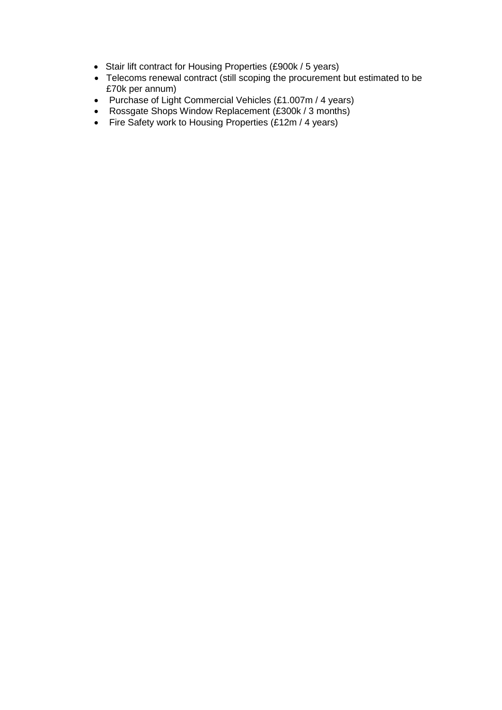- Stair lift contract for Housing Properties (£900k / 5 years)
- Telecoms renewal contract (still scoping the procurement but estimated to be £70k per annum)
- Purchase of Light Commercial Vehicles (£1.007m / 4 years)
- Rossgate Shops Window Replacement (£300k / 3 months)
- Fire Safety work to Housing Properties (£12m / 4 years)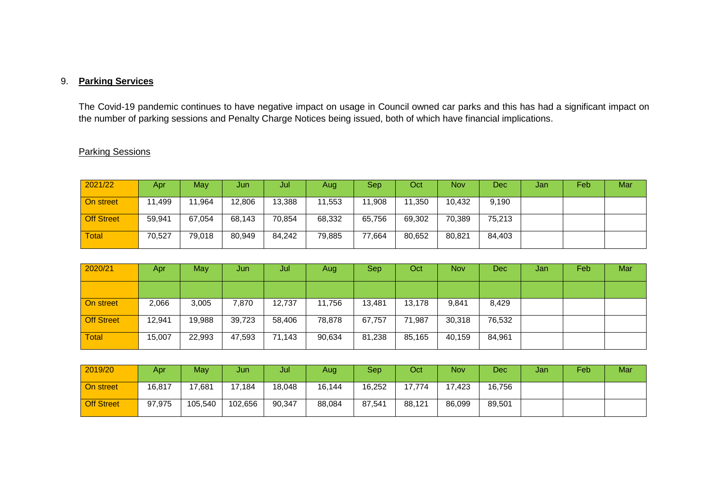# 9. **Parking Services**

The Covid-19 pandemic continues to have negative impact on usage in Council owned car parks and this has had a significant impact on the number of parking sessions and Penalty Charge Notices being issued, both of which have financial implications.

# Parking Sessions

| 2021/22           | Apr.   | May    | Jun    | Jul    | Aug    | <b>Sep</b> | Oct    | <b>Nov</b> | Dec    | Jan | Feb | Mar |
|-------------------|--------|--------|--------|--------|--------|------------|--------|------------|--------|-----|-----|-----|
| On street         | 11,499 | 11,964 | 12,806 | 13,388 | 11,553 | 11,908     | 11,350 | 10,432     | 9,190  |     |     |     |
| <b>Off Street</b> | 59,941 | 67,054 | 68,143 | 70,854 | 68,332 | 65,756     | 69,302 | 70,389     | 75,213 |     |     |     |
| <b>Total</b>      | 70,527 | 79,018 | 80,949 | 84,242 | 79,885 | 77,664     | 80,652 | 80,821     | 84,403 |     |     |     |

| 2020/21           | Apr    | May    | Jun    | Jul    | Aug    | Sep    | Oct    | <b>Nov</b> | Dec    | Jan | Feb | Mar |
|-------------------|--------|--------|--------|--------|--------|--------|--------|------------|--------|-----|-----|-----|
|                   |        |        |        |        |        |        |        |            |        |     |     |     |
| On street         | 2,066  | 3,005  | 7,870  | 12,737 | 11,756 | 13,481 | 13,178 | 9,841      | 8,429  |     |     |     |
| <b>Off Street</b> | 12,941 | 19,988 | 39,723 | 58,406 | 78,878 | 67,757 | 71,987 | 30,318     | 76,532 |     |     |     |
| <b>Total</b>      | 15,007 | 22,993 | 47,593 | 71,143 | 90,634 | 81,238 | 85,165 | 40,159     | 84,961 |     |     |     |

| 2019/20           | Apr <sub></sub> | May     | Jun     | Jul    | Aug    | Sep    | Oct    | <b>Nov</b> | Dec.   | Jan | Feb | Mar |
|-------------------|-----------------|---------|---------|--------|--------|--------|--------|------------|--------|-----|-----|-----|
| <b>On street</b>  | 16,817          | 17.681  | 17,184  | 18,048 | 16,144 | 16,252 | 17.774 | 17.423     | 16,756 |     |     |     |
| <b>Off Street</b> | 97,975          | 105.540 | 102,656 | 90,347 | 88,084 | 87,541 | 88,121 | 86,099     | 89,501 |     |     |     |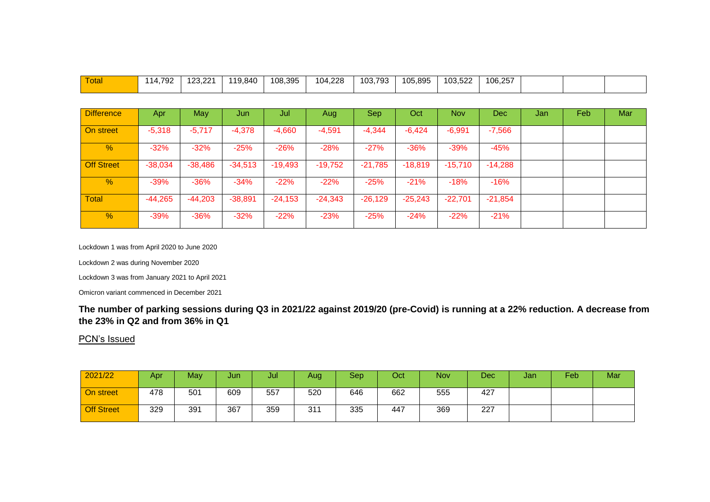| Total             | 114,792   | 123,221   | 119,840   | 108,395   | 104,228   | 103,793   | 105,895   | 103,522    | 106,257    |     |      |     |
|-------------------|-----------|-----------|-----------|-----------|-----------|-----------|-----------|------------|------------|-----|------|-----|
|                   |           |           |           |           |           |           |           |            |            |     |      |     |
| <b>Difference</b> | Apr       | May       | Jun       | Jul       | Aug       | Sep       | Oct       | <b>Nov</b> | <b>Dec</b> | Jan | Feb. | Mar |
| On street         | $-5,318$  | $-5,717$  | $-4,378$  | $-4,660$  | $-4,591$  | $-4,344$  | $-6,424$  | $-6,991$   | $-7,566$   |     |      |     |
| $\%$              | $-32%$    | $-32%$    | $-25%$    | $-26%$    | $-28%$    | $-27%$    | $-36%$    | $-39%$     | $-45%$     |     |      |     |
| <b>Off Street</b> | $-38,034$ | $-38,486$ | $-34,513$ | $-19,493$ | $-19,752$ | $-21,785$ | $-18,819$ | $-15,710$  | $-14,288$  |     |      |     |
| $\%$              | $-39%$    | $-36%$    | $-34%$    | $-22%$    | $-22%$    | $-25%$    | $-21%$    | $-18%$     | $-16%$     |     |      |     |
| <b>Total</b>      | $-44,265$ | $-44,203$ | $-38,891$ | $-24,153$ | $-24,343$ | $-26,129$ | $-25,243$ | $-22,701$  | $-21,854$  |     |      |     |
| $\frac{9}{6}$     | $-39%$    | $-36%$    | $-32%$    | $-22%$    | $-23%$    | $-25%$    | $-24%$    | $-22%$     | $-21%$     |     |      |     |

Lockdown 1 was from April 2020 to June 2020

Lockdown 2 was during November 2020

Lockdown 3 was from January 2021 to April 2021

Omicron variant commenced in December 2021

**The number of parking sessions during Q3 in 2021/22 against 2019/20 (pre-Covid) is running at a 22% reduction. A decrease from the 23% in Q2 and from 36% in Q1** 

PCN's Issued

| 2021/22           | Apr <sub>1</sub> | May | Jun | Jul | Aug | Sep <sup>1</sup> | Oct | <b>Nov</b> | Dec | Jan | Feb | Mar |
|-------------------|------------------|-----|-----|-----|-----|------------------|-----|------------|-----|-----|-----|-----|
| On street         | 478              | 501 | 609 | 557 | 520 | 646              | 662 | 555        | 427 |     |     |     |
| <b>Off Street</b> | 329              | 391 | 367 | 359 | 311 | 335              | 447 | 369        | 227 |     |     |     |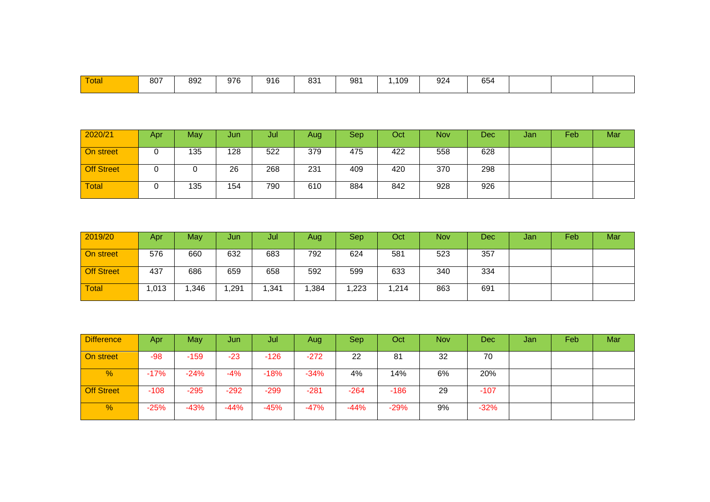| Total | 807 | 892 | 976 | 916<br>$\sim$ $\sim$ | 024<br>oo i | 98 <sup>′</sup><br>$ -$ | 109 | 924 | 654<br>~ ∪ |  |  |
|-------|-----|-----|-----|----------------------|-------------|-------------------------|-----|-----|------------|--|--|
|       |     |     |     |                      |             |                         |     |     |            |  |  |

| 2020/21           | Apr | May | Jun | Jul | Aug | <b>Sep</b> | Oct | <b>Nov</b> | Dec | Jan | Feb | Mar |
|-------------------|-----|-----|-----|-----|-----|------------|-----|------------|-----|-----|-----|-----|
| On street         |     | 135 | 128 | 522 | 379 | 475        | 422 | 558        | 628 |     |     |     |
| <b>Off Street</b> |     |     | 26  | 268 | 231 | 409        | 420 | 370        | 298 |     |     |     |
| <b>Total</b>      |     | 135 | 154 | 790 | 610 | 884        | 842 | 928        | 926 |     |     |     |

| 2019/20           | Apr  | May  | Jun  | Jul   | Aug  | <b>Sep</b> | Oct   | <b>Nov</b> | Dec | Jar | Feb | Mar |
|-------------------|------|------|------|-------|------|------------|-------|------------|-----|-----|-----|-----|
| On street         | 576  | 660  | 632  | 683   | 792  | 624        | 581   | 523        | 357 |     |     |     |
| <b>Off Street</b> | 437  | 686  | 659  | 658   | 592  | 599        | 633   | 340        | 334 |     |     |     |
| Total             | ,013 | ,346 | ,291 | 1,341 | ,384 | ,223       | 1,214 | 863        | 691 |     |     |     |

| <b>Difference</b> | <b>Apr</b> | May    | Jun    | Jul    | Aug    | Sep    | Oct    | <b>Nov</b> | Dec    | Jan | Feb | Mar |
|-------------------|------------|--------|--------|--------|--------|--------|--------|------------|--------|-----|-----|-----|
| On street         | $-98$      | $-159$ | $-23$  | $-126$ | $-272$ | 22     | 81     | 32         | 70     |     |     |     |
| $\frac{9}{6}$     | $-17%$     | $-24%$ | $-4%$  | $-18%$ | $-34%$ | 4%     | 14%    | 6%         | 20%    |     |     |     |
| <b>Off Street</b> | $-108$     | $-295$ | $-292$ | $-299$ | $-281$ | $-264$ | $-186$ | 29         | -107   |     |     |     |
| $\frac{9}{6}$     | $-25%$     | $-43%$ | $-44%$ | $-45%$ | $-47%$ | $-44%$ | $-29%$ | 9%         | $-32%$ |     |     |     |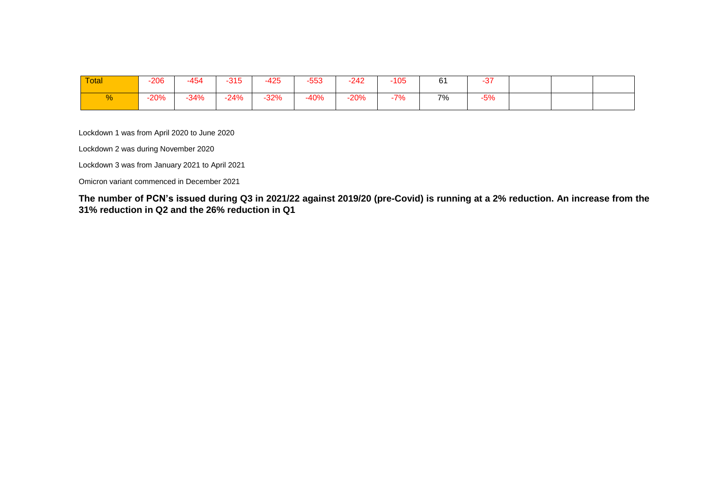| Total | $-206$ | -454   | $-315$ | $-425$ | $-553$ | $-242$ | $-105$ | 61 | $\sim$<br>-37 |  |  |
|-------|--------|--------|--------|--------|--------|--------|--------|----|---------------|--|--|
|       | $-20%$ | $-34%$ | $-24%$ | $-32%$ | $-40%$ | 20%    | 7%     | 7% | $-5%$         |  |  |

Lockdown 1 was from April 2020 to June 2020

Lockdown 2 was during November 2020

Lockdown 3 was from January 2021 to April 2021

Omicron variant commenced in December 2021

**The number of PCN's issued during Q3 in 2021/22 against 2019/20 (pre-Covid) is running at a 2% reduction. An increase from the 31% reduction in Q2 and the 26% reduction in Q1**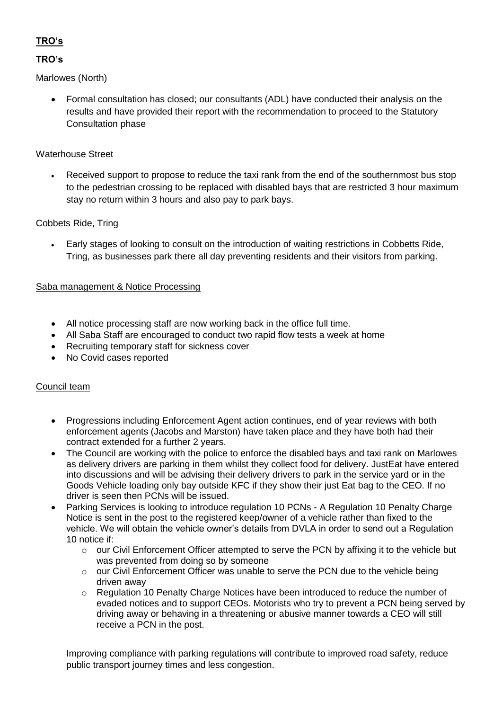# **TRO's**

# **TRO's**

Marlowes (North)

 Formal consultation has closed; our consultants (ADL) have conducted their analysis on the results and have provided their report with the recommendation to proceed to the Statutory Consultation phase

# Waterhouse Street

 Received support to propose to reduce the taxi rank from the end of the southernmost bus stop to the pedestrian crossing to be replaced with disabled bays that are restricted 3 hour maximum stay no return within 3 hours and also pay to park bays.

# Cobbets Ride, Tring

 Early stages of looking to consult on the introduction of waiting restrictions in Cobbetts Ride, Tring, as businesses park there all day preventing residents and their visitors from parking.

# Saba management & Notice Processing

- All notice processing staff are now working back in the office full time.
- All Saba Staff are encouraged to conduct two rapid flow tests a week at home
- Recruiting temporary staff for sickness cover
- No Covid cases reported

#### Council team

- Progressions including Enforcement Agent action continues, end of year reviews with both enforcement agents (Jacobs and Marston) have taken place and they have both had their contract extended for a further 2 years.
- The Council are working with the police to enforce the disabled bays and taxi rank on Marlowes as delivery drivers are parking in them whilst they collect food for delivery. JustEat have entered into discussions and will be advising their delivery drivers to park in the service yard or in the Goods Vehicle loading only bay outside KFC if they show their just Eat bag to the CEO. If no driver is seen then PCNs will be issued.
- Parking Services is looking to introduce regulation 10 PCNs A Regulation 10 Penalty Charge Notice is sent in the post to the registered keep/owner of a vehicle rather than fixed to the vehicle. We will obtain the vehicle owner's details from DVLA in order to send out a Regulation 10 notice if:
	- o our Civil Enforcement Officer attempted to serve the PCN by affixing it to the vehicle but was prevented from doing so by someone
	- $\circ$  our Civil Enforcement Officer was unable to serve the PCN due to the vehicle being driven away
	- o Regulation 10 Penalty Charge Notices have been introduced to reduce the number of evaded notices and to support CEOs. Motorists who try to prevent a PCN being served by driving away or behaving in a threatening or abusive manner towards a CEO will still receive a PCN in the post.

Improving compliance with parking regulations will contribute to improved road safety, reduce public transport journey times and less congestion.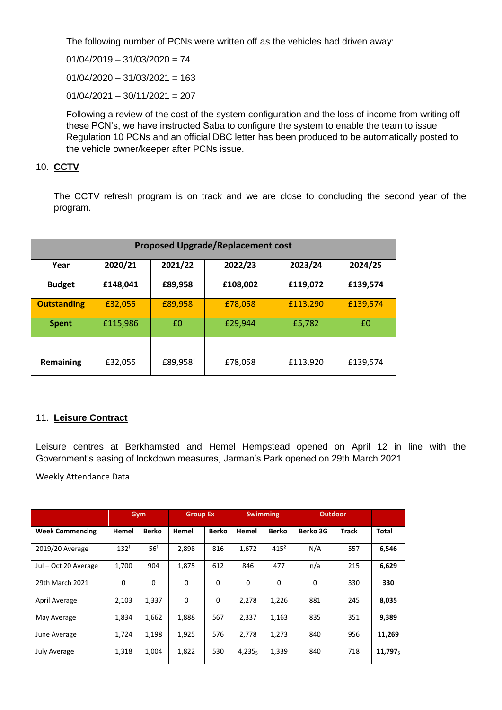The following number of PCNs were written off as the vehicles had driven away:

 $01/04/2019 - 31/03/2020 = 74$ 

 $01/04/2020 - 31/03/2021 = 163$ 

 $01/04/2021 - 30/11/2021 = 207$ 

Following a review of the cost of the system configuration and the loss of income from writing off these PCN's, we have instructed Saba to configure the system to enable the team to issue Regulation 10 PCNs and an official DBC letter has been produced to be automatically posted to the vehicle owner/keeper after PCNs issue.

# 10. **CCTV**

The CCTV refresh program is on track and we are close to concluding the second year of the program.

| <b>Proposed Upgrade/Replacement cost</b> |          |         |          |          |          |  |  |  |  |  |  |
|------------------------------------------|----------|---------|----------|----------|----------|--|--|--|--|--|--|
| Year                                     | 2020/21  | 2021/22 | 2022/23  | 2023/24  | 2024/25  |  |  |  |  |  |  |
| <b>Budget</b>                            | £148,041 | £89,958 | £108,002 | £119,072 | £139,574 |  |  |  |  |  |  |
| <b>Outstanding</b>                       | £32,055  | £89,958 | £78,058  | £113,290 | £139,574 |  |  |  |  |  |  |
| <b>Spent</b>                             | £115,986 | £0      | £29,944  | £5,782   | £0       |  |  |  |  |  |  |
|                                          |          |         |          |          |          |  |  |  |  |  |  |
| Remaining                                | £32,055  | £89,958 | £78,058  | £113,920 | £139,574 |  |  |  |  |  |  |

#### 11. **Leisure Contract**

Leisure centres at Berkhamsted and Hemel Hempstead opened on April 12 in line with the Government's easing of lockdown measures, Jarman's Park opened on 29th March 2021.

#### Weekly Attendance Data

|                        |                  | Gym             | <b>Group Ex</b> |             | <b>Swimming</b>    |          | <b>Outdoor</b> |              |              |
|------------------------|------------------|-----------------|-----------------|-------------|--------------------|----------|----------------|--------------|--------------|
| <b>Week Commencing</b> | Hemel            | <b>Berko</b>    | Hemel           | Berko       | Hemel              | Berko    | Berko 3G       | <b>Track</b> | <b>Total</b> |
| 2019/20 Average        | 132 <sup>1</sup> | 56 <sup>1</sup> | 2,898           | 816         | 1,672              | $415^2$  | N/A            | 557          | 6,546        |
| Jul - Oct 20 Average   | 1,700            | 904             | 1,875           | 612         | 846                | 477      | n/a            | 215          | 6,629        |
| 29th March 2021        | 0                | 0               | $\Omega$        | $\Omega$    | $\Omega$           | $\Omega$ | 0              | 330          | 330          |
| April Average          | 2,103            | 1,337           | $\mathbf 0$     | $\mathbf 0$ | 2,278              | 1,226    | 881            | 245          | 8,035        |
| May Average            | 1,834            | 1,662           | 1,888           | 567         | 2,337              | 1,163    | 835            | 351          | 9,389        |
| June Average           | 1,724            | 1,198           | 1,925           | 576         | 2,778              | 1,273    | 840            | 956          | 11,269       |
| <b>July Average</b>    | 1,318            | 1,004           | 1,822           | 530         | 4,235 <sub>5</sub> | 1,339    | 840            | 718          | 11,797,      |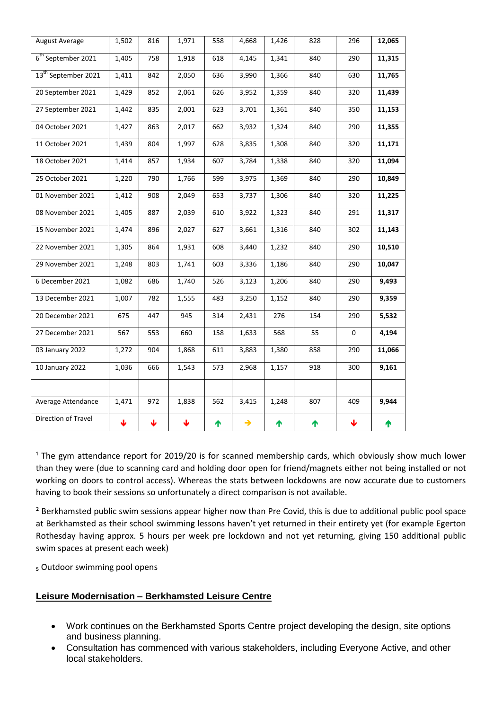| <b>August Average</b>           | 1,502 | 816             | 1,971                   | 558 | 4,668         | 1,426 | 828 | 296             | 12,065 |
|---------------------------------|-------|-----------------|-------------------------|-----|---------------|-------|-----|-----------------|--------|
| 6 <sup>th</sup> September 2021  | 1,405 | 758             | 1,918                   | 618 | 4,145         | 1,341 | 840 | 290             | 11,315 |
| 13 <sup>th</sup> September 2021 | 1,411 | 842             | 2,050                   | 636 | 3,990         | 1,366 | 840 | 630             | 11,765 |
| 20 September 2021               | 1,429 | 852             | 2,061                   | 626 | 3,952         | 1,359 | 840 | 320             | 11,439 |
| 27 September 2021               | 1,442 | 835             | 2,001                   | 623 | 3,701         | 1,361 | 840 | 350             | 11,153 |
| 04 October 2021                 | 1,427 | 863             | 2,017                   | 662 | 3,932         | 1,324 | 840 | 290             | 11,355 |
| 11 October 2021                 | 1,439 | 804             | 1,997                   | 628 | 3,835         | 1,308 | 840 | 320             | 11,171 |
| 18 October 2021                 | 1,414 | 857             | 1,934                   | 607 | 3,784         | 1,338 | 840 | 320             | 11,094 |
| 25 October 2021                 | 1,220 | 790             | 1,766                   | 599 | 3,975         | 1,369 | 840 | 290             | 10,849 |
| 01 November 2021                | 1,412 | 908             | 2,049                   | 653 | 3,737         | 1,306 | 840 | 320             | 11,225 |
| 08 November 2021                | 1,405 | 887             | 2,039                   | 610 | 3,922         | 1,323 | 840 | 291             | 11,317 |
| 15 November 2021                | 1,474 | 896             | 2,027                   | 627 | 3,661         | 1,316 | 840 | 302             | 11,143 |
| 22 November 2021                | 1,305 | 864             | 1,931                   | 608 | 3,440         | 1,232 | 840 | 290             | 10,510 |
| 29 November 2021                | 1,248 | 803             | 1,741                   | 603 | 3,336         | 1,186 | 840 | 290             | 10,047 |
| 6 December 2021                 | 1,082 | 686             | 1,740                   | 526 | 3,123         | 1,206 | 840 | 290             | 9,493  |
| 13 December 2021                | 1,007 | 782             | 1,555                   | 483 | 3,250         | 1,152 | 840 | 290             | 9,359  |
| 20 December 2021                | 675   | 447             | 945                     | 314 | 2,431         | 276   | 154 | 290             | 5,532  |
| 27 December 2021                | 567   | 553             | 660                     | 158 | 1,633         | 568   | 55  | $\mathbf 0$     | 4,194  |
| 03 January 2022                 | 1,272 | 904             | 1,868                   | 611 | 3,883         | 1,380 | 858 | 290             | 11,066 |
| 10 January 2022                 | 1,036 | 666             | 1,543                   | 573 | 2,968         | 1,157 | 918 | 300             | 9,161  |
|                                 |       |                 |                         |     |               |       |     |                 |        |
| Average Attendance              | 1,471 | 972             | 1,838                   | 562 | 3,415         | 1,248 | 807 | 409             | 9,944  |
| Direction of Travel             | Ψ     | $\blacklozenge$ | $\overline{\mathbf{v}}$ | ↑   | $\rightarrow$ | 个     | 个   | $\blacklozenge$ | 个      |

<sup>1</sup> The gym attendance report for 2019/20 is for scanned membership cards, which obviously show much lower than they were (due to scanning card and holding door open for friend/magnets either not being installed or not working on doors to control access). Whereas the stats between lockdowns are now accurate due to customers having to book their sessions so unfortunately a direct comparison is not available.

<sup>2</sup> Berkhamsted public swim sessions appear higher now than Pre Covid, this is due to additional public pool space at Berkhamsted as their school swimming lessons haven't yet returned in their entirety yet (for example Egerton Rothesday having approx. 5 hours per week pre lockdown and not yet returning, giving 150 additional public swim spaces at present each week)

₅ Outdoor swimming pool opens

# **Leisure Modernisation – Berkhamsted Leisure Centre**

- Work continues on the Berkhamsted Sports Centre project developing the design, site options and business planning.
- Consultation has commenced with various stakeholders, including Everyone Active, and other local stakeholders.